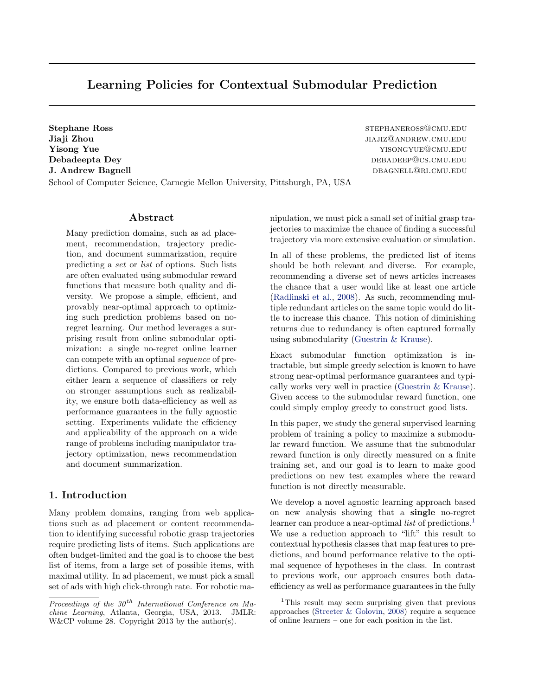# Learning Policies for Contextual Submodular Prediction

Stephane Ross stephane Ross stephane Ross stephane Ross stephane Ross stephane Ross stephane Ross stephane Ross stephane Ross stephane Ross stephane Ross stephane Ross stephane Ross stephane Ross stephane Ross stephane Ros **Jiaji Zhou** JIAJIZ@ANDREW.CMU.EDU **Yisong Yue and Yue yisong Yue yisong Yue yisong Yue yisong Yue yisong Yue yisong Yue yisong Yue yisong Yue yisong Yue yisong Yue yisong Yue yisong Yue yisong Yue yisong Yue yisong Yue yisong Yue yisong Yue yisong Yue yiso** Debadeepta Dey debadeepta Dey debadeepta Debadeepta Debadeepta Debadeepta Debadeepta Debadeepta Debadeepta Deb J. Andrew Bagnell dbagnell and the settlement of the settlement of the settlement of the settlement of the settlement of the settlement of the settlement of the settlement of the settlement of the settlement of the settlem School of Computer Science, Carnegie Mellon University, Pittsburgh, PA, USA

# Abstract

Many prediction domains, such as ad placement, recommendation, trajectory prediction, and document summarization, require predicting a set or list of options. Such lists are often evaluated using submodular reward functions that measure both quality and diversity. We propose a simple, efficient, and provably near-optimal approach to optimizing such prediction problems based on noregret learning. Our method leverages a surprising result from online submodular optimization: a single no-regret online learner can compete with an optimal sequence of predictions. Compared to previous work, which either learn a sequence of classifiers or rely on stronger assumptions such as realizability, we ensure both data-efficiency as well as performance guarantees in the fully agnostic setting. Experiments validate the efficiency and applicability of the approach on a wide range of problems including manipulator trajectory optimization, news recommendation and document summarization.

# 1. Introduction

Many problem domains, ranging from web applications such as ad placement or content recommendation to identifying successful robotic grasp trajectories require predicting lists of items. Such applications are often budget-limited and the goal is to choose the best list of items, from a large set of possible items, with maximal utility. In ad placement, we must pick a small set of ads with high click-through rate. For robotic manipulation, we must pick a small set of initial grasp trajectories to maximize the chance of finding a successful trajectory via more extensive evaluation or simulation.

In all of these problems, the predicted list of items should be both relevant and diverse. For example, recommending a diverse set of news articles increases the chance that a user would like at least one article [\(Radlinski et al.,](#page-8-0) [2008\)](#page-8-0). As such, recommending multiple redundant articles on the same topic would do little to increase this chance. This notion of diminishing returns due to redundancy is often captured formally using submodularity [\(Guestrin & Krause\)](#page-8-0).

Exact submodular function optimization is intractable, but simple greedy selection is known to have strong near-optimal performance guarantees and typically works very well in practice [\(Guestrin & Krause\)](#page-8-0). Given access to the submodular reward function, one could simply employ greedy to construct good lists.

In this paper, we study the general supervised learning problem of training a policy to maximize a submodular reward function. We assume that the submodular reward function is only directly measured on a finite training set, and our goal is to learn to make good predictions on new test examples where the reward function is not directly measurable.

We develop a novel agnostic learning approach based on new analysis showing that a single no-regret learner can produce a near-optimal *list* of predictions.<sup>1</sup> We use a reduction approach to "lift" this result to contextual hypothesis classes that map features to predictions, and bound performance relative to the optimal sequence of hypotheses in the class. In contrast to previous work, our approach ensures both dataefficiency as well as performance guarantees in the fully

Proceedings of the  $30<sup>th</sup>$  International Conference on Machine Learning, Atlanta, Georgia, USA, 2013. JMLR: W&CP volume 28. Copyright 2013 by the author(s).

<sup>&</sup>lt;sup>1</sup>This result may seem surprising given that previous approaches [\(Streeter & Golovin,](#page-8-0) [2008\)](#page-8-0) require a sequence of online learners – one for each position in the list.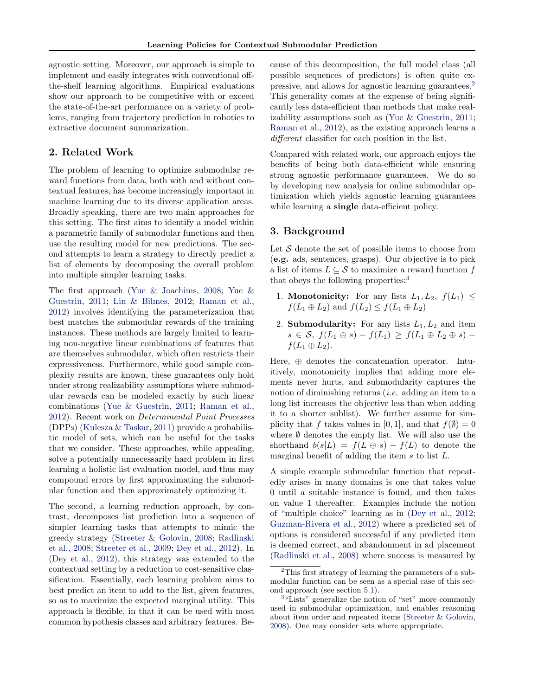agnostic setting. Moreover, our approach is simple to implement and easily integrates with conventional offthe-shelf learning algorithms. Empirical evaluations show our approach to be competitive with or exceed the state-of-the-art performance on a variety of problems, ranging from trajectory prediction in robotics to extractive document summarization.

# 2. Related Work

The problem of learning to optimize submodular reward functions from data, both with and without contextual features, has become increasingly important in machine learning due to its diverse application areas. Broadly speaking, there are two main approaches for this setting. The first aims to identify a model within a parametric family of submodular functions and then use the resulting model for new predictions. The second attempts to learn a strategy to directly predict a list of elements by decomposing the overall problem into multiple simpler learning tasks.

The first approach [\(Yue & Joachims,](#page-8-0) [2008;](#page-8-0) [Yue &](#page-8-0) [Guestrin,](#page-8-0) [2011;](#page-8-0) [Lin & Bilmes,](#page-8-0) [2012;](#page-8-0) [Raman et al.,](#page-8-0) [2012\)](#page-8-0) involves identifying the parameterization that best matches the submodular rewards of the training instances. These methods are largely limited to learning non-negative linear combinations of features that are themselves submodular, which often restricts their expressiveness. Furthermore, while good sample complexity results are known, these guarantees only hold under strong realizability assumptions where submodular rewards can be modeled exactly by such linear combinations [\(Yue & Guestrin,](#page-8-0) [2011;](#page-8-0) [Raman et al.,](#page-8-0) [2012\)](#page-8-0). Recent work on Determinental Point Processes (DPPs) [\(Kulesza & Taskar,](#page-8-0) [2011\)](#page-8-0) provide a probabilistic model of sets, which can be useful for the tasks that we consider. These approaches, while appealing, solve a potentially unnecessarily hard problem in first learning a holistic list evaluation model, and thus may compound errors by first approximating the submodular function and then approximately optimizing it.

The second, a learning reduction approach, by contrast, decomposes list prediction into a sequence of simpler learning tasks that attempts to mimic the greedy strategy [\(Streeter & Golovin,](#page-8-0) [2008;](#page-8-0) [Radlinski](#page-8-0) [et al.,](#page-8-0) [2008;](#page-8-0) [Streeter et al.,](#page-8-0) [2009;](#page-8-0) [Dey et al.,](#page-8-0) [2012\)](#page-8-0). In [\(Dey et al.,](#page-8-0) [2012\)](#page-8-0), this strategy was extended to the contextual setting by a reduction to cost-sensitive classification. Essentially, each learning problem aims to best predict an item to add to the list, given features, so as to maximize the expected marginal utility. This approach is flexible, in that it can be used with most common hypothesis classes and arbitrary features. Because of this decomposition, the full model class (all possible sequences of predictors) is often quite expressive, and allows for agnostic learning guarantees.<sup>2</sup> This generality comes at the expense of being significantly less data-efficient than methods that make realizability assumptions such as [\(Yue & Guestrin,](#page-8-0) [2011;](#page-8-0) [Raman et al.,](#page-8-0) [2012\)](#page-8-0), as the existing approach learns a different classifier for each position in the list.

Compared with related work, our approach enjoys the benefits of being both data-efficient while ensuring strong agnostic performance guarantees. We do so by developing new analysis for online submodular optimization which yields agnostic learning guarantees while learning a **single** data-efficient policy.

# 3. Background

Let  $\mathcal S$  denote the set of possible items to choose from (e.g. ads, sentences, grasps). Our objective is to pick a list of items  $L \subseteq \mathcal{S}$  to maximize a reward function f that obeys the following properties:<sup>3</sup>

- 1. Monotonicity: For any lists  $L_1, L_2, f(L_1) \leq$  $f(L_1 \oplus L_2)$  and  $f(L_2) \leq f(L_1 \oplus L_2)$
- 2. Submodularity: For any lists  $L_1, L_2$  and item  $s \in \mathcal{S}, f(L_1 \oplus s) - f(L_1) \geq f(L_1 \oplus L_2 \oplus s)$  $f(L_1 \oplus L_2).$

Here, ⊕ denotes the concatenation operator. Intuitively, monotonicity implies that adding more elements never hurts, and submodularity captures the notion of diminishing returns (i.e. adding an item to a long list increases the objective less than when adding it to a shorter sublist). We further assume for simplicity that f takes values in [0, 1], and that  $f(\emptyset) = 0$ where  $\emptyset$  denotes the empty list. We will also use the shorthand  $b(s|L) = f(L \oplus s) - f(L)$  to denote the marginal benefit of adding the item s to list L.

A simple example submodular function that repeatedly arises in many domains is one that takes value 0 until a suitable instance is found, and then takes on value 1 thereafter. Examples include the notion of "multiple choice" learning as in [\(Dey et al.,](#page-8-0) [2012;](#page-8-0) [Guzman-Rivera et al.,](#page-8-0) [2012\)](#page-8-0) where a predicted set of options is considered successful if any predicted item is deemed correct, and abandonment in ad placement [\(Radlinski et al.,](#page-8-0) [2008\)](#page-8-0) where success is measured by

<sup>&</sup>lt;sup>2</sup>This first strategy of learning the parameters of a submodular function can be seen as a special case of this second approach (see section [5.1\)](#page-4-0).

<sup>&</sup>lt;sup>3</sup>"Lists" generalize the notion of "set" more commonly used in submodular optimization, and enables reasoning about item order and repeated items [\(Streeter & Golovin,](#page-8-0) [2008\)](#page-8-0). One may consider sets where appropriate.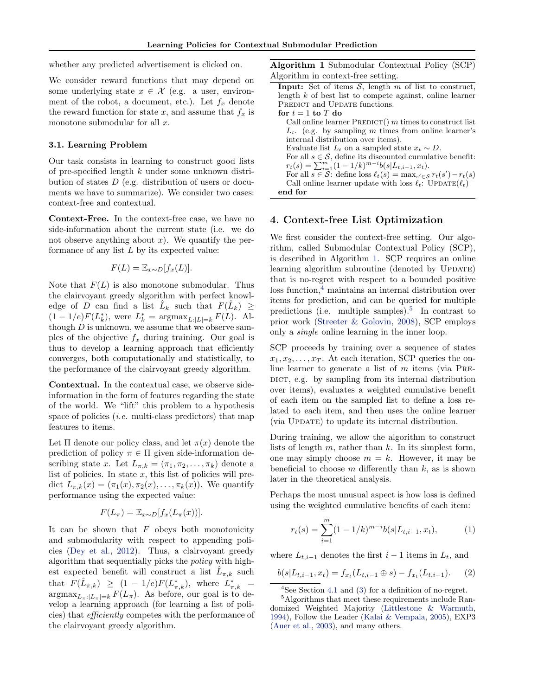<span id="page-2-0"></span>whether any predicted advertisement is clicked on.

We consider reward functions that may depend on some underlying state  $x \in \mathcal{X}$  (e.g. a user, environment of the robot, a document, etc.). Let  $f_x$  denote the reward function for state x, and assume that  $f_x$  is monotone submodular for all  $x$ .

#### 3.1. Learning Problem

Our task consists in learning to construct good lists of pre-specified length k under some unknown distribution of states D (e.g. distribution of users or documents we have to summarize). We consider two cases: context-free and contextual.

Context-Free. In the context-free case, we have no side-information about the current state (i.e. we do not observe anything about  $x$ ). We quantify the performance of any list  $L$  by its expected value:

$$
F(L) = \mathbb{E}_{x \sim D}[f_x(L)].
$$

Note that  $F(L)$  is also monotone submodular. Thus the clairvoyant greedy algorithm with perfect knowledge of D can find a list  $\hat{L}_k$  such that  $F(\hat{L}_k) \geq$  $(1 - 1/e)F(L_k^*),$  were  $L_k^* = \text{argmax}_{L:|L|=k} F(L)$ . Although  $D$  is unknown, we assume that we observe samples of the objective  $f_x$  during training. Our goal is thus to develop a learning approach that efficiently converges, both computationally and statistically, to the performance of the clairvoyant greedy algorithm.

Contextual. In the contextual case, we observe sideinformation in the form of features regarding the state of the world. We "lift" this problem to a hypothesis space of policies  $(i.e.$  multi-class predictors) that map features to items.

Let  $\Pi$  denote our policy class, and let  $\pi(x)$  denote the prediction of policy  $\pi \in \Pi$  given side-information describing state x. Let  $L_{\pi,k} = (\pi_1, \pi_2, \ldots, \pi_k)$  denote a list of policies. In state  $x$ , this list of policies will predict  $L_{\pi,k}(x) = (\pi_1(x), \pi_2(x), \ldots, \pi_k(x))$ . We quantify performance using the expected value:

$$
F(L_{\pi}) = \mathbb{E}_{x \sim D}[f_x(L_{\pi}(x))].
$$

It can be shown that  $F$  obeys both monotonicity and submodularity with respect to appending policies [\(Dey et al.,](#page-8-0) [2012\)](#page-8-0). Thus, a clairvoyant greedy algorithm that sequentially picks the policy with highest expected benefit will construct a list  $\hat{L}_{\pi,k}$  such that  $F(\hat{L}_{\pi,k}) \geq (1 - 1/e)F(L_{\pi,k}^*),$  where  $L_{\pi,k}^* =$  $\operatorname{argmax}_{L_{\pi}:|L_{\pi}|=k} F(L_{\pi})$ . As before, our goal is to develop a learning approach (for learning a list of policies) that efficiently competes with the performance of the clairvoyant greedy algorithm.

Algorithm 1 Submodular Contextual Policy (SCP) Algorithm in context-free setting.

|                     | <b>Input:</b> Set of items $S$ , length m of list to construct,                                    |
|---------------------|----------------------------------------------------------------------------------------------------|
|                     | length $k$ of best list to compete against, online learner                                         |
|                     | <b>PREDICT</b> and UPDATE functions.                                                               |
| for $t = 1$ to T do |                                                                                                    |
|                     | Call online learner $PREDICT()$ m times to construct list                                          |
|                     | $L_t$ . (e.g. by sampling m times from online learner's                                            |
|                     | internal distribution over items).                                                                 |
|                     | Evaluate list $L_t$ on a sampled state $x_t \sim D$ .                                              |
|                     | For all $s \in \mathcal{S}$ , define its discounted cumulative benefit:                            |
|                     | $r_t(s) = \sum_{i=1}^m (1 - 1/k)^{m-i} b(s L_{t,i-1}, x_t).$                                       |
|                     | For all $s \in \mathcal{S}$ : define loss $\ell_t(s) = \max_{s' \in \mathcal{S}} r_t(s') - r_t(s)$ |
|                     | Call online learner update with loss $\ell_t$ : UPDATE( $\ell_t$ )                                 |
| end for             |                                                                                                    |

#### 4. Context-free List Optimization

We first consider the context-free setting. Our algorithm, called Submodular Contextual Policy (SCP), is described in Algorithm 1. SCP requires an online learning algorithm subroutine (denoted by UPDATE) that is no-regret with respect to a bounded positive  $\cos$  function,<sup>4</sup> maintains an internal distribution over items for prediction, and can be queried for multiple predictions (i.e. multiple samples).<sup>5</sup> In contrast to prior work [\(Streeter & Golovin,](#page-8-0) [2008\)](#page-8-0), SCP employs only a single online learning in the inner loop.

SCP proceeds by training over a sequence of states  $x_1, x_2, \ldots, x_T$ . At each iteration, SCP queries the online learner to generate a list of  $m$  items (via PRE-DICT, e.g. by sampling from its internal distribution over items), evaluates a weighted cumulative benefit of each item on the sampled list to define a loss related to each item, and then uses the online learner (via Update) to update its internal distribution.

During training, we allow the algorithm to construct lists of length  $m$ , rather than  $k$ . In its simplest form, one may simply choose  $m = k$ . However, it may be beneficial to choose  $m$  differently than  $k$ , as is shown later in the theoretical analysis.

Perhaps the most unusual aspect is how loss is defined using the weighted cumulative benefits of each item:

$$
r_t(s) = \sum_{i=1}^{m} (1 - 1/k)^{m-i} b(s|L_{t,i-1}, x_t),
$$
 (1)

where  $L_{t,i-1}$  denotes the first  $i-1$  items in  $L_t$ , and

$$
b(s|L_{t,i-1},x_t) = f_{x_t}(L_{t,i-1} \oplus s) - f_{x_t}(L_{t,i-1}).
$$
 (2)

 $4$ See Section [4.1](#page-3-0) and [\(3\)](#page-3-0) for a definition of no-regret.

<sup>5</sup>Algorithms that meet these requirements include Randomized Weighted Majority [\(Littlestone & Warmuth,](#page-8-0) [1994\)](#page-8-0), Follow the Leader [\(Kalai & Vempala,](#page-8-0) [2005\)](#page-8-0), EXP3 [\(Auer et al.,](#page-8-0) [2003\)](#page-8-0), and many others.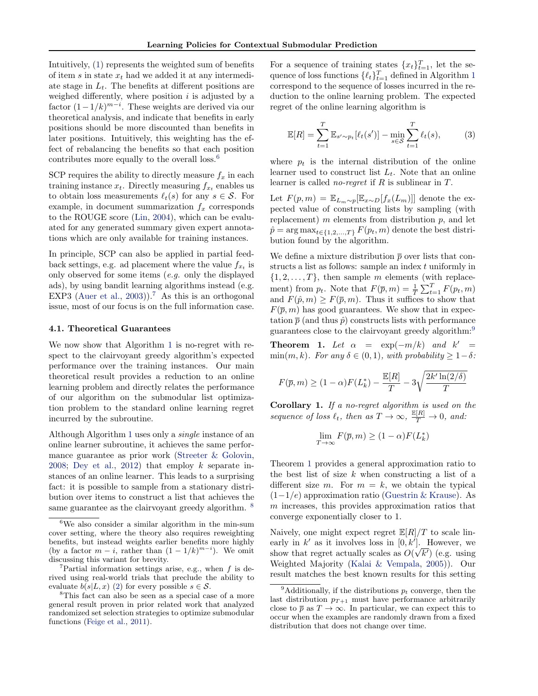<span id="page-3-0"></span>Intuitively, [\(1\)](#page-2-0) represents the weighted sum of benefits of item s in state  $x_t$  had we added it at any intermediate stage in  $L_t$ . The benefits at different positions are weighed differently, where position  $i$  is adjusted by a factor  $(1-1/k)^{m-i}$ . These weights are derived via our theoretical analysis, and indicate that benefits in early positions should be more discounted than benefits in later positions. Intuitively, this weighting has the effect of rebalancing the benefits so that each position contributes more equally to the overall loss.<sup>6</sup>

SCP requires the ability to directly measure  $f_x$  in each training instance  $x_t$ . Directly measuring  $f_{x_t}$  enables us to obtain loss measurements  $\ell_t(s)$  for any  $s \in \mathcal{S}$ . For example, in document summarization  $f_x$  corresponds to the ROUGE score [\(Lin,](#page-8-0) [2004\)](#page-8-0), which can be evaluated for any generated summary given expert annotations which are only available for training instances.

In principle, SCP can also be applied in partial feedback settings, e.g. ad placement where the value  $f_{x_t}$  is only observed for some items (e.g. only the displayed ads), by using bandit learning algorithms instead (e.g. EXP3 [\(Auer et al.,](#page-8-0) [2003\)](#page-8-0)).<sup>7</sup> As this is an orthogonal issue, most of our focus is on the full information case.

#### 4.1. Theoretical Guarantees

We now show that Algorithm [1](#page-2-0) is no-regret with respect to the clairvoyant greedy algorithm's expected performance over the training instances. Our main theoretical result provides a reduction to an online learning problem and directly relates the performance of our algorithm on the submodular list optimization problem to the standard online learning regret incurred by the subroutine.

Although Algorithm [1](#page-2-0) uses only a single instance of an online learner subroutine, it achieves the same performance guarantee as prior work [\(Streeter & Golovin,](#page-8-0) [2008;](#page-8-0) [Dey et al.,](#page-8-0) [2012\)](#page-8-0) that employ k separate instances of an online learner. This leads to a surprising fact: it is possible to sample from a stationary distribution over items to construct a list that achieves the same guarantee as the clairvoyant greedy algorithm. <sup>8</sup>

For a sequence of training states  $\{x_t\}_{t=1}^T$ , let the sequence of loss functions  $\{\ell_t\}_{t=1}^T$  $\{\ell_t\}_{t=1}^T$  $\{\ell_t\}_{t=1}^T$  defined in Algorithm 1 correspond to the sequence of losses incurred in the reduction to the online learning problem. The expected regret of the online learning algorithm is

$$
\mathbb{E}[R] = \sum_{t=1}^{T} \mathbb{E}_{s' \sim p_t} [\ell_t(s')] - \min_{s \in \mathcal{S}} \sum_{t=1}^{T} \ell_t(s), \tag{3}
$$

where  $p_t$  is the internal distribution of the online learner used to construct list  $L_t$ . Note that an online learner is called *no-regret* if  $R$  is sublinear in  $T$ .

Let  $F(p, m) = \mathbb{E}_{L_m \sim p}[\mathbb{E}_{x \sim D}[f_x(L_m)]]$  denote the expected value of constructing lists by sampling (with replacement)  $m$  elements from distribution  $p$ , and let  $\hat{p} = \arg \max_{t \in \{1, 2, ..., T\}} F(p_t, m)$  denote the best distribution found by the algorithm.

We define a mixture distribution  $\bar{p}$  over lists that constructs a list as follows: sample an index t uniformly in  $\{1, 2, \ldots, T\}$ , then sample m elements (with replacement) from  $p_t$ . Note that  $F(\bar{p}, m) = \frac{1}{T} \sum_{t=1}^{T} F(p_t, m)$ and  $F(\hat{p}, m) \geq F(\overline{p}, m)$ . Thus it suffices to show that  $F(\bar{p}, m)$  has good guarantees. We show that in expectation  $\bar{p}$  (and thus  $\hat{p}$ ) constructs lists with performance guarantees close to the clairvoyant greedy algorithm:<sup>9</sup>

**Theorem 1.** Let  $\alpha = \exp(-m/k)$  and  $k' =$ min $(m, k)$ . For any  $\delta \in (0, 1)$ , with probability  $\geq 1-\delta$ :

$$
F(\overline{p}, m) \ge (1 - \alpha) F(L_k^*) - \frac{\mathbb{E}[R]}{T} - 3\sqrt{\frac{2k' \ln(2/\delta)}{T}}
$$

Corollary 1. If a no-regret algorithm is used on the sequence of loss  $\ell_t$ , then as  $T \to \infty$ ,  $\frac{\mathbb{E}[R]}{T} \to 0$ , and:

$$
\lim_{T \to \infty} F(\overline{p}, m) \ge (1 - \alpha) F(L_k^*)
$$

Theorem 1 provides a general approximation ratio to the best list of size  $k$  when constructing a list of a different size m. For  $m = k$ , we obtain the typical  $(1-1/e)$  approximation ratio [\(Guestrin & Krause\)](#page-8-0). As m increases, this provides approximation ratios that converge exponentially closer to 1.

Naively, one might expect regret  $\mathbb{E}[R]/T$  to scale linearly in  $k'$  as it involves loss in  $[0, k']$ . However, we show that regret actually scales as  $O(\sqrt{k'})$  (e.g. using Weighted Majority [\(Kalai & Vempala,](#page-8-0) [2005\)](#page-8-0)). Our result matches the best known results for this setting

 ${}^{6}\mathrm{We}$  also consider a similar algorithm in the min-sum cover setting, where the theory also requires reweighting benefits, but instead weights earlier benefits more highly (by a factor  $m - i$ , rather than  $(1 - 1/k)^{m-i}$ ). We omit discussing this variant for brevity.

<sup>&</sup>lt;sup>7</sup>Partial information settings arise, e.g., when  $f$  is derived using real-world trials that preclude the ability to evaluate  $b(s|L, x)$  [\(2\)](#page-2-0) for every possible  $s \in \mathcal{S}$ .

<sup>8</sup>This fact can also be seen as a special case of a more general result proven in prior related work that analyzed randomized set selection strategies to optimize submodular functions [\(Feige et al.,](#page-8-0) [2011\)](#page-8-0).

<sup>&</sup>lt;sup>9</sup>Additionally, if the distributions  $p_t$  converge, then the last distribution  $p_{T+1}$  must have performance arbitrarily close to  $\bar{p}$  as  $T \to \infty$ . In particular, we can expect this to occur when the examples are randomly drawn from a fixed distribution that does not change over time.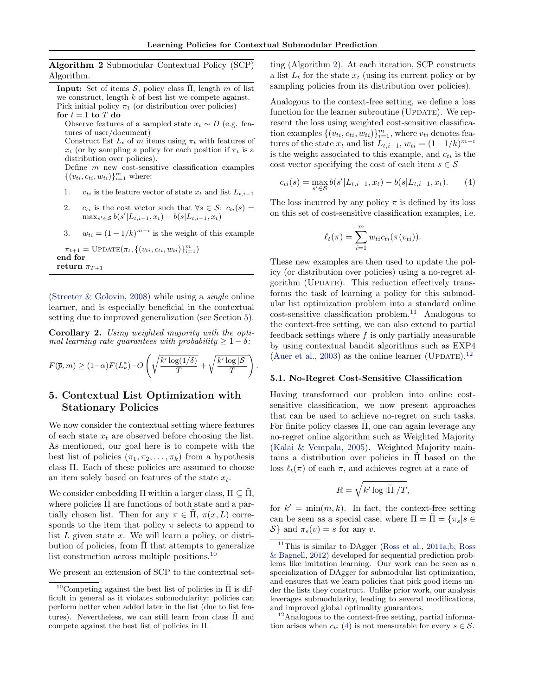.

<span id="page-4-0"></span>Algorithm 2 Submodular Contextual Policy (SCP) Algorithm.

**Input:** Set of items  $\mathcal{S}$ , policy class  $\tilde{\Pi}$ , length m of list we construct, length  $k$  of best list we compete against. Pick initial policy  $\pi_1$  (or distribution over policies) for  $t = 1$  to  $T$  do

Observe features of a sampled state  $x_t \sim D$  (e.g. features of user/document) Construct list  $L_t$  of m items using  $\pi_t$  with features of

 $x_t$  (or by sampling a policy for each position if  $\pi_t$  is a distribution over policies).

Define  $m$  new cost-sensitive classification examples  $\{(v_{ti}, c_{ti}, w_{ti})\}_{i=1}^m$  where:

- 1. v<sub>ti</sub> is the feature vector of state  $x_t$  and list  $L_{t,i-1}$
- 2. ct<sub>i</sub> is the cost vector such that  $\forall s \in S$ : c<sub>ti</sub>(s) =  $\max_{s' \in \mathcal{S}} b(s'|L_{t,i-1}, x_t) - b(s|L_{t,i-1}, x_t)$
- 3.  $w_{ti} = (1 1/k)^{m-i}$  is the weight of this example

 $\pi_{t+1} = \text{UPDATE}(\pi_t, \{ (v_{ti}, c_{ti}, w_{ti}) \}_{i=1}^m)$ end for return  $\pi_{T+1}$ 

[\(Streeter & Golovin,](#page-8-0) [2008\)](#page-8-0) while using a single online learner, and is especially beneficial in the contextual setting due to improved generalization (see Section 5).

Corollary 2. Using weighted majority with the optimal learning rate guarantees with probability  $\geq 1-\delta$ :

$$
F(\overline{p},m) \ge (1-\alpha)F(L_k^*) - O\left(\sqrt{\frac{k'\log(1/\delta)}{T}} + \sqrt{\frac{k'\log|\mathcal{S}|}{T}}\right)
$$

# 5. Contextual List Optimization with Stationary Policies

We now consider the contextual setting where features of each state  $x_t$  are observed before choosing the list. As mentioned, our goal here is to compete with the best list of policies  $(\pi_1, \pi_2, \ldots, \pi_k)$  from a hypothesis class Π. Each of these policies are assumed to choose an item solely based on features of the state  $x_t$ .

We consider embedding  $\Pi$  within a larger class,  $\Pi \subseteq \Pi$ , where policies  $\Pi$  are functions of both state and a partially chosen list. Then for any  $\pi \in \Pi$ ,  $\pi(x,L)$  corresponds to the item that policy  $\pi$  selects to append to list  $L$  given state  $x$ . We will learn a policy, or distribution of policies, from  $\tilde{\Pi}$  that attempts to generalize list construction across multiple positions.<sup>10</sup>

We present an extension of SCP to the contextual set-

ting (Algorithm 2). At each iteration, SCP constructs a list  $L_t$  for the state  $x_t$  (using its current policy or by sampling policies from its distribution over policies).

Analogous to the context-free setting, we define a loss function for the learner subroutine (UPDATE). We represent the loss using weighted cost-sensitive classification examples  $\{(v_{ti}, c_{ti}, w_{ti})\}_{i=1}^m$ , where  $v_{ti}$  denotes features of the state  $x_t$  and list  $L_{t,i-1}$ ,  $w_{ti} = (1 - 1/k)^{m-i}$ is the weight associated to this example, and  $c_{ti}$  is the cost vector specifying the cost of each item  $s \in \mathcal{S}$ 

$$
c_{ti}(s) = \max_{s' \in \mathcal{S}} b(s'|L_{t,i-1}, x_t) - b(s|L_{t,i-1}, x_t). \tag{4}
$$

The loss incurred by any policy  $\pi$  is defined by its loss on this set of cost-sensitive classification examples, i.e.

$$
\ell_t(\pi) = \sum_{i=1}^m w_{ti} c_{ti}(\pi(v_{ti})).
$$

These new examples are then used to update the policy (or distribution over policies) using a no-regret algorithm (UPDATE). This reduction effectively transforms the task of learning a policy for this submodular list optimization problem into a standard online  $cost$ -sensitive classification problem.<sup>11</sup> Analogous to the context-free setting, we can also extend to partial feedback settings where  $f$  is only partially measurable by using contextual bandit algorithms such as EXP4 [\(Auer et al.,](#page-8-0) [2003\)](#page-8-0) as the online learner (UPDATE).<sup>12</sup>

#### 5.1. No-Regret Cost-Sensitive Classification

Having transformed our problem into online costsensitive classification, we now present approaches that can be used to achieve no-regret on such tasks. For finite policy classes  $\Pi$ , one can again leverage any no-regret online algorithm such as Weighted Majority [\(Kalai & Vempala,](#page-8-0) [2005\)](#page-8-0). Weighted Majority maintains a distribution over policies in  $\Pi$  based on the loss  $\ell_t(\pi)$  of each  $\pi$ , and achieves regret at a rate of

$$
R = \sqrt{k' \log |\tilde{\Pi}|/T},
$$

for  $k' = \min(m, k)$ . In fact, the context-free setting can be seen as a special case, where  $\Pi = \Pi = \{\pi_s | s \in$  $\mathcal{S}\}\$ and  $\pi_s(v) = s$  for any v.

<sup>12</sup>Analogous to the context-free setting, partial information arises when  $c_{ti}$  (4) is not measurable for every  $s \in \mathcal{S}$ .

 $^{10}$ Competing against the best list of policies in  $\overline{\Pi}$  is difficult in general as it violates submodularity: policies can perform better when added later in the list (due to list features). Nevertheless, we can still learn from class  $\Pi$  and compete against the best list of policies in Π.

<sup>11</sup>This is similar to DAgger [\(Ross et al.,](#page-8-0) [2011a;b;](#page-8-0) [Ross](#page-8-0) [& Bagnell,](#page-8-0) [2012\)](#page-8-0) developed for sequential prediction problems like imitation learning. Our work can be seen as a specialization of DAgger for submodular list optimization, and ensures that we learn policies that pick good items under the lists they construct. Unlike prior work, our analysis leverages submodularity, leading to several modifications, and improved global optimality guarantees.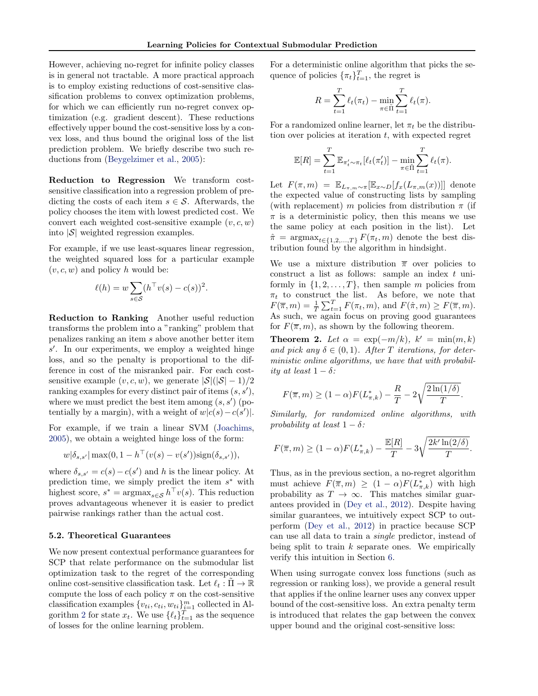However, achieving no-regret for infinite policy classes is in general not tractable. A more practical approach is to employ existing reductions of cost-sensitive classification problems to convex optimization problems, for which we can efficiently run no-regret convex optimization (e.g. gradient descent). These reductions effectively upper bound the cost-sensitive loss by a convex loss, and thus bound the original loss of the list prediction problem. We briefly describe two such reductions from [\(Beygelzimer et al.,](#page-8-0) [2005\)](#page-8-0):

Reduction to Regression We transform costsensitive classification into a regression problem of predicting the costs of each item  $s \in \mathcal{S}$ . Afterwards, the policy chooses the item with lowest predicted cost. We convert each weighted cost-sensitive example  $(v, c, w)$ into  $|\mathcal{S}|$  weighted regression examples.

For example, if we use least-squares linear regression, the weighted squared loss for a particular example  $(v, c, w)$  and policy h would be:

$$
\ell(h) = w \sum_{s \in \mathcal{S}} (h^\top v(s) - c(s))^2.
$$

Reduction to Ranking Another useful reduction transforms the problem into a "ranking" problem that penalizes ranking an item s above another better item  $s'$ . In our experiments, we employ a weighted hinge loss, and so the penalty is proportional to the difference in cost of the misranked pair. For each costsensitive example  $(v, c, w)$ , we generate  $|S|(|S|-1)/2$ ranking examples for every distinct pair of items  $(s, s')$ , where we must predict the best item among  $(s, s')$  (potentially by a margin), with a weight of  $w|c(s) - c(s')|$ .

For example, if we train a linear SVM [\(Joachims,](#page-8-0) [2005\)](#page-8-0), we obtain a weighted hinge loss of the form:

$$
w|\delta_{s,s'}| \max(0, 1 - h^{\top}(v(s) - v(s')) \text{sign}(\delta_{s,s'})),
$$

where  $\delta_{s,s'} = c(s) - c(s')$  and h is the linear policy. At prediction time, we simply predict the item  $s^*$  with highest score,  $s^* = \text{argmax}_{s \in \mathcal{S}} h^{\top} v(s)$ . This reduction proves advantageous whenever it is easier to predict pairwise rankings rather than the actual cost.

#### 5.2. Theoretical Guarantees

We now present contextual performance guarantees for SCP that relate performance on the submodular list optimization task to the regret of the corresponding online cost-sensitive classification task. Let  $\ell_t : \Pi \to \mathbb{R}$ compute the loss of each policy  $\pi$  on the cost-sensitive classification examples  $\{v_{ti}, c_{ti}, w_{ti}\}_{i=1}^m$  collected in Al-gorithm [2](#page-4-0) for state  $x_t$ . We use  $\{\ell_t\}_{t=1}^T$  as the sequence of losses for the online learning problem.

For a deterministic online algorithm that picks the sequence of policies  $\{\pi_t\}_{t=1}^T$ , the regret is

$$
R = \sum_{t=1}^{T} \ell_t(\pi_t) - \min_{\pi \in \tilde{\Pi}} \sum_{t=1}^{T} \ell_t(\pi).
$$

For a randomized online learner, let  $\pi_t$  be the distribution over policies at iteration  $t$ , with expected regret

$$
\mathbb{E}[R] = \sum_{t=1}^T \mathbb{E}_{\pi'_t \sim \pi_t} [\ell_t(\pi'_t)] - \min_{\pi \in \tilde{\Pi}} \sum_{t=1}^T \ell_t(\pi).
$$

Let  $F(\pi, m) = \mathbb{E}_{L_{\pi,m}\sim\pi}[\mathbb{E}_{x\sim D}[f_x(L_{\pi,m}(x))]]$  denote the expected value of constructing lists by sampling (with replacement) m policies from distribution  $\pi$  (if  $\pi$  is a deterministic policy, then this means we use the same policy at each position in the list). Let  $\hat{\pi} = \arg \max_{t \in \{1, 2, ..., T\}} F(\pi_t, m)$  denote the best distribution found by the algorithm in hindsight.

We use a mixture distribution  $\bar{\pi}$  over policies to construct a list as follows: sample an index t uniformly in  $\{1, 2, \ldots, T\}$ , then sample m policies from  $\pi_t$  to construct the list. As before, we note that  $F(\overline{\pi}, m) = \frac{1}{T} \sum_{t=1}^{T} F(\pi_t, m)$ , and  $F(\hat{\pi}, m) \ge F(\overline{\pi}, m)$ . As such, we again focus on proving good guarantees for  $F(\overline{\pi}, m)$ , as shown by the following theorem.

**Theorem 2.** Let  $\alpha = \exp(-m/k)$ ,  $k' = \min(m, k)$ and pick any  $\delta \in (0,1)$ . After T iterations, for deterministic online algorithms, we have that with probability at least  $1 - \delta$ :

$$
F(\overline{\pi},m) \ge (1-\alpha)F(L_{\pi,k}^*) - \frac{R}{T} - 2\sqrt{\frac{2\ln(1/\delta)}{T}}.
$$

Similarly, for randomized online algorithms, with probability at least  $1 - \delta$ :

$$
F(\overline{\pi},m) \ge (1-\alpha)F(L_{\pi,k}^*) - \frac{\mathbb{E}[R]}{T} - 3\sqrt{\frac{2k'\ln(2/\delta)}{T}}.
$$

Thus, as in the previous section, a no-regret algorithm must achieve  $F(\overline{\pi}, m) \ge (1 - \alpha) F(L^*_{\pi,k})$  with high probability as  $T \to \infty$ . This matches similar guarantees provided in [\(Dey et al.,](#page-8-0) [2012\)](#page-8-0). Despite having similar guarantees, we intuitively expect SCP to outperform [\(Dey et al.,](#page-8-0) [2012\)](#page-8-0) in practice because SCP can use all data to train a single predictor, instead of being split to train  $k$  separate ones. We empirically verify this intuition in Section [6.](#page-6-0)

When using surrogate convex loss functions (such as regression or ranking loss), we provide a general result that applies if the online learner uses any convex upper bound of the cost-sensitive loss. An extra penalty term is introduced that relates the gap between the convex upper bound and the original cost-sensitive loss: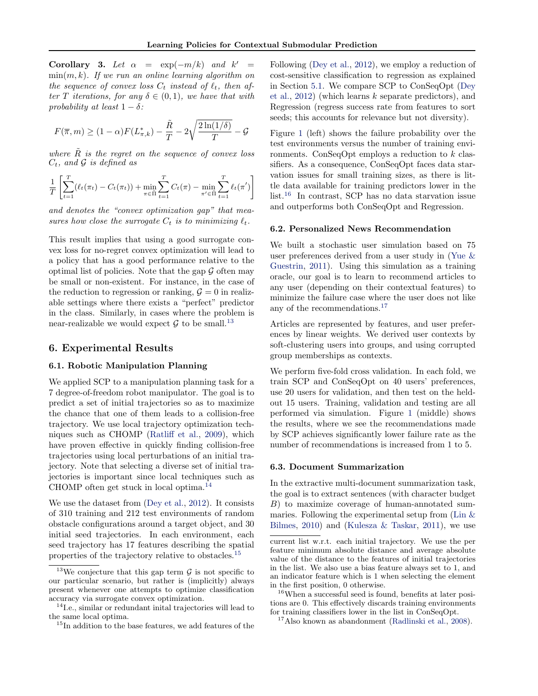<span id="page-6-0"></span>Corollary 3. Let  $\alpha = \exp(-m/k)$  and  $k' =$  $\min(m, k)$ . If we run an online learning algorithm on the sequence of convex loss  $C_t$  instead of  $\ell_t$ , then after T iterations, for any  $\delta \in (0,1)$ , we have that with probability at least  $1 - \delta$ :

$$
F(\overline{\pi},m) \ge (1-\alpha)F(L_{\pi,k}^*) - \frac{\tilde{R}}{T} - 2\sqrt{\frac{2\ln(1/\delta)}{T}} - \mathcal{G}
$$

where  $\tilde{R}$  is the regret on the sequence of convex loss  $C_t$ , and  $\mathcal G$  is defined as

$$
\frac{1}{T} \left[ \sum_{t=1}^{T} (\ell_t(\pi_t) - C_t(\pi_t)) + \min_{\pi \in \tilde{\Pi}} \sum_{t=1}^{T} C_t(\pi) - \min_{\pi' \in \tilde{\Pi}} \sum_{t=1}^{T} \ell_t(\pi') \right]
$$

and denotes the "convex optimization gap" that measures how close the surrogate  $C_t$  is to minimizing  $\ell_t$ .

This result implies that using a good surrogate convex loss for no-regret convex optimization will lead to a policy that has a good performance relative to the optimal list of policies. Note that the gap  $\mathcal G$  often may be small or non-existent. For instance, in the case of the reduction to regression or ranking,  $\mathcal{G} = 0$  in realizable settings where there exists a "perfect" predictor in the class. Similarly, in cases where the problem is near-realizable we would expect  $\mathcal G$  to be small.<sup>13</sup>

#### 6. Experimental Results

### 6.1. Robotic Manipulation Planning

We applied SCP to a manipulation planning task for a 7 degree-of-freedom robot manipulator. The goal is to predict a set of initial trajectories so as to maximize the chance that one of them leads to a collision-free trajectory. We use local trajectory optimization techniques such as CHOMP [\(Ratliff et al.,](#page-8-0) [2009\)](#page-8-0), which have proven effective in quickly finding collision-free trajectories using local perturbations of an initial trajectory. Note that selecting a diverse set of initial trajectories is important since local techniques such as CHOMP often get stuck in local optima.<sup>14</sup>

We use the dataset from [\(Dey et al.,](#page-8-0) [2012\)](#page-8-0). It consists of 310 training and 212 test environments of random obstacle configurations around a target object, and 30 initial seed trajectories. In each environment, each seed trajectory has 17 features describing the spatial properties of the trajectory relative to obstacles.<sup>15</sup>

Following [\(Dey et al.,](#page-8-0) [2012\)](#page-8-0), we employ a reduction of cost-sensitive classification to regression as explained in Section [5.1.](#page-4-0) We compare SCP to ConSeqOpt [\(Dey](#page-8-0) [et al.,](#page-8-0) [2012\)](#page-8-0) (which learns k separate predictors), and Regression (regress success rate from features to sort seeds; this accounts for relevance but not diversity).

Figure [1](#page-7-0) (left) shows the failure probability over the test environments versus the number of training environments. ConSeqOpt employs a reduction to  $k$  classifiers. As a consequence, ConSeqOpt faces data starvation issues for small training sizes, as there is little data available for training predictors lower in the list.<sup>16</sup> In contrast, SCP has no data starvation issue and outperforms both ConSeqOpt and Regression.

#### 6.2. Personalized News Recommendation

We built a stochastic user simulation based on 75 user preferences derived from a user study in [\(Yue &](#page-8-0) [Guestrin,](#page-8-0) [2011\)](#page-8-0). Using this simulation as a training oracle, our goal is to learn to recommend articles to any user (depending on their contextual features) to minimize the failure case where the user does not like any of the recommendations.<sup>17</sup>

Articles are represented by features, and user preferences by linear weights. We derived user contexts by soft-clustering users into groups, and using corrupted group memberships as contexts.

We perform five-fold cross validation. In each fold, we train SCP and ConSeqOpt on 40 users' preferences, use 20 users for validation, and then test on the heldout 15 users. Training, validation and testing are all performed via simulation. Figure [1](#page-7-0) (middle) shows the results, where we see the recommendations made by SCP achieves significantly lower failure rate as the number of recommendations is increased from 1 to 5.

#### 6.3. Document Summarization

In the extractive multi-document summarization task, the goal is to extract sentences (with character budget B) to maximize coverage of human-annotated summaries. Following the experimental setup from [\(Lin &](#page-8-0) [Bilmes,](#page-8-0) [2010\)](#page-8-0) and [\(Kulesza & Taskar,](#page-8-0) [2011\)](#page-8-0), we use

<sup>&</sup>lt;sup>13</sup>We conjecture that this gap term  $\mathcal G$  is not specific to our particular scenario, but rather is (implicitly) always present whenever one attempts to optimize classification accuracy via surrogate convex optimization.

<sup>14</sup>I.e., similar or redundant inital trajectories will lead to the same local optima.

 $^{15}{\rm In}$  addition to the base features, we add features of the

current list w.r.t. each initial trajectory. We use the per feature minimum absolute distance and average absolute value of the distance to the features of initial trajectories in the list. We also use a bias feature always set to 1, and an indicator feature which is 1 when selecting the element in the first position, 0 otherwise.

<sup>16</sup>When a successful seed is found, benefits at later positions are 0. This effectively discards training environments for training classifiers lower in the list in ConSeqOpt.

 $17$ Also known as abandonment [\(Radlinski et al.,](#page-8-0) [2008\)](#page-8-0).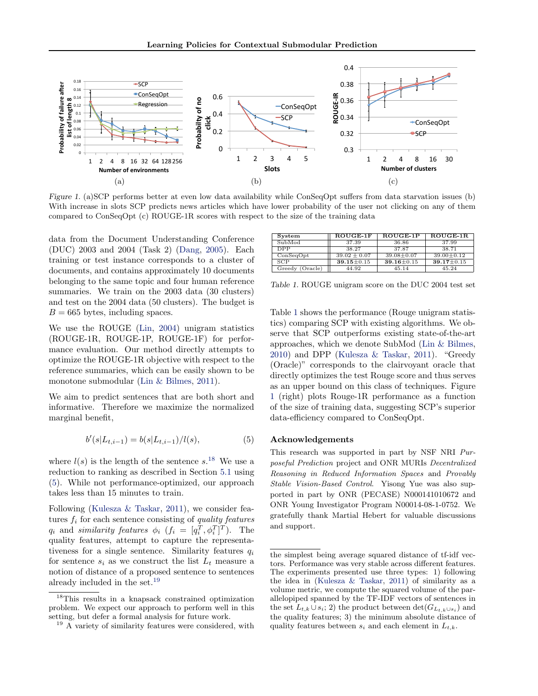<span id="page-7-0"></span>

Figure 1. (a)SCP performs better at even low data availability while ConSeqOpt suffers from data starvation issues (b) With increase in slots SCP predicts news articles which have lower probability of the user not clicking on any of them compared to ConSeqOpt (c) ROUGE-1R scores with respect to the size of the training data

data from the Document Understanding Conference (DUC) 2003 and 2004 (Task 2) [\(Dang,](#page-8-0) [2005\)](#page-8-0). Each training or test instance corresponds to a cluster of documents, and contains approximately 10 documents belonging to the same topic and four human reference summaries. We train on the 2003 data (30 clusters) and test on the 2004 data (50 clusters). The budget is  $B = 665$  bytes, including spaces.

We use the ROUGE [\(Lin,](#page-8-0) [2004\)](#page-8-0) unigram statistics (ROUGE-1R, ROUGE-1P, ROUGE-1F) for performance evaluation. Our method directly attempts to optimize the ROUGE-1R objective with respect to the reference summaries, which can be easily shown to be monotone submodular [\(Lin & Bilmes,](#page-8-0) [2011\)](#page-8-0).

We aim to predict sentences that are both short and informative. Therefore we maximize the normalized marginal benefit,

$$
b'(s|L_{t,i-1}) = b(s|L_{t,i-1})/l(s),
$$
\n(5)

where  $l(s)$  is the length of the sentence  $s$ <sup>18</sup>. We use a reduction to ranking as described in Section [5.1](#page-4-0) using (5). While not performance-optimized, our approach takes less than 15 minutes to train.

Following [\(Kulesza & Taskar,](#page-8-0) [2011\)](#page-8-0), we consider features  $f_i$  for each sentence consisting of quality features  $q_i$  and similarity features  $\phi_i$   $(f_i = [q_i^T, \phi_i^T]^T)$ . The quality features, attempt to capture the representativeness for a single sentence. Similarity features  $q_i$ for sentence  $s_i$  as we construct the list  $L_t$  measure a notion of distance of a proposed sentence to sentences already included in the set.<sup>19</sup>

| System          | ROUGE-1F         | ROUGE-1P         | $ROUGE-1R$       |
|-----------------|------------------|------------------|------------------|
| SubMod          | 37.39            | 36.86            | 37.99            |
| <b>DPP</b>      | 38.27            | 37.87            | 38.71            |
| ConSeqOpt       | $39.02 \pm 0.07$ | $39.08 \pm 0.07$ | $39.00 \pm 0.12$ |
| SCP             | $39.15 + 0.15$   | $39.16 + 0.15$   | $39.17 + 0.15$   |
| Greedy (Oracle) | 44.92            | 45.14            | 45.24            |

Table 1. ROUGE unigram score on the DUC 2004 test set

Table 1 shows the performance (Rouge unigram statistics) comparing SCP with existing algorithms. We observe that SCP outperforms existing state-of-the-art approaches, which we denote SubMod [\(Lin & Bilmes,](#page-8-0) [2010\)](#page-8-0) and DPP [\(Kulesza & Taskar,](#page-8-0) [2011\)](#page-8-0). "Greedy (Oracle)" corresponds to the clairvoyant oracle that directly optimizes the test Rouge score and thus serves as an upper bound on this class of techniques. Figure 1 (right) plots Rouge-1R performance as a function of the size of training data, suggesting SCP's superior data-efficiency compared to ConSeqOpt.

### Acknowledgements

This research was supported in part by NSF NRI Purposeful Prediction project and ONR MURIs Decentralized Reasoning in Reduced Information Spaces and Provably Stable Vision-Based Control. Yisong Yue was also supported in part by ONR (PECASE) N000141010672 and ONR Young Investigator Program N00014-08-1-0752. We gratefully thank Martial Hebert for valuable discussions and support.

<sup>18</sup>This results in a knapsack constrained optimization problem. We expect our approach to perform well in this setting, but defer a formal analysis for future work.

 $19$  A variety of similarity features were considered, with

the simplest being average squared distance of tf-idf vectors. Performance was very stable across different features. The experiments presented use three types: 1) following the idea in [\(Kulesza & Taskar,](#page-8-0) [2011\)](#page-8-0) of similarity as a volume metric, we compute the squared volume of the parallelopiped spanned by the TF-IDF vectors of sentences in the set  $L_{t,k} \cup s_i$ ; 2) the product between  $\det(G_{L_{t,k} \cup s_i})$  and the quality features; 3) the minimum absolute distance of quality features between  $s_i$  and each element in  $L_{t,k}$ .